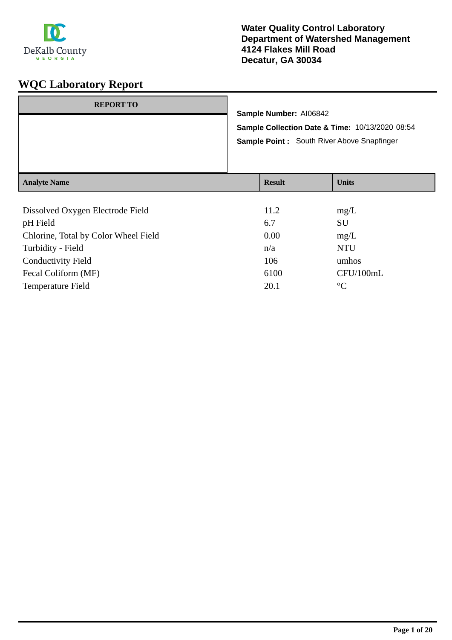

| <b>REPORT TO</b>    | Sample Number: AI06842<br>Sample Point: South River Above Snapfinger | Sample Collection Date & Time: 10/13/2020 08:54 |
|---------------------|----------------------------------------------------------------------|-------------------------------------------------|
| <b>Analyte Name</b> | <b>Result</b>                                                        | <b>Units</b>                                    |
|                     |                                                                      |                                                 |

| Dissolved Oxygen Electrode Field     | 11.2 | mg/L            |
|--------------------------------------|------|-----------------|
| pH Field                             | 6.7  | <b>SU</b>       |
| Chlorine, Total by Color Wheel Field | 0.00 | mg/L            |
| Turbidity - Field                    | n/a  | <b>NTU</b>      |
| <b>Conductivity Field</b>            | 106  | umhos           |
| Fecal Coliform (MF)                  | 6100 | CFU/100mL       |
| <b>Temperature Field</b>             | 20.1 | $\rm ^{\circ}C$ |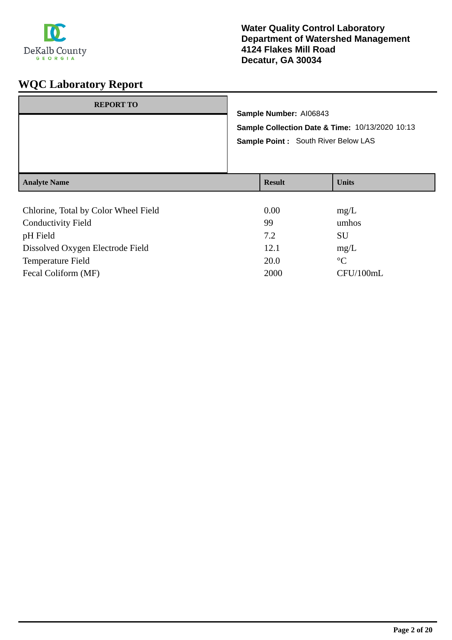

| <b>REPORT TO</b>                    | Sample Number: AI06843<br>Sample Point : South River Below LAS | Sample Collection Date & Time: 10/13/2020 10:13 |
|-------------------------------------|----------------------------------------------------------------|-------------------------------------------------|
| <b>Analyte Name</b>                 | <b>Result</b>                                                  | <b>Units</b>                                    |
| Chloring Total by Color Wheel Field | $\Omega$ $\Omega$                                              | ma/L                                            |

| Chlorine, Total by Color Wheel Field | 0.00 | mg/L            |
|--------------------------------------|------|-----------------|
| <b>Conductivity Field</b>            | 99   | umhos           |
| pH Field                             | 7.2  | SU              |
| Dissolved Oxygen Electrode Field     | 12.1 | mg/L            |
| Temperature Field                    | 20.0 | $\rm ^{\circ}C$ |
| Fecal Coliform (MF)                  | 2000 | CFU/100mL       |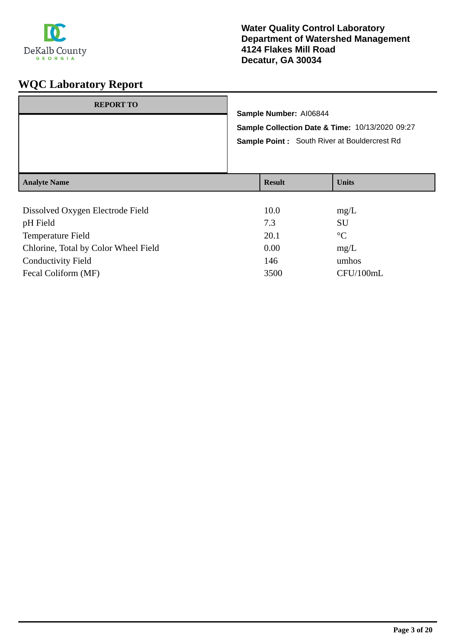

| <b>REPORT TO</b>                 | Sample Number: AI06844 |                                                                                                 |
|----------------------------------|------------------------|-------------------------------------------------------------------------------------------------|
|                                  |                        | Sample Collection Date & Time: 10/13/2020 09:27<br>Sample Point: South River at Bouldercrest Rd |
| <b>Analyte Name</b>              | <b>Result</b>          | <b>Units</b>                                                                                    |
| Dissolved Oxygen Electrode Field | 10.0                   | mg/L                                                                                            |

| <b>DISSOLVED ON LOCAL LICENSE 1 ICIU</b> | 1 v.v | $\mathbf{H}(\mathbf{z})$ |
|------------------------------------------|-------|--------------------------|
| pH Field                                 | 7.3   | SU                       |
| Temperature Field                        | 20.1  | $\rm ^{\circ}C$          |
| Chlorine, Total by Color Wheel Field     | 0.00  | mg/L                     |
| <b>Conductivity Field</b>                | 146   | umhos                    |
| Fecal Coliform (MF)                      | 3500  | CFU/100mL                |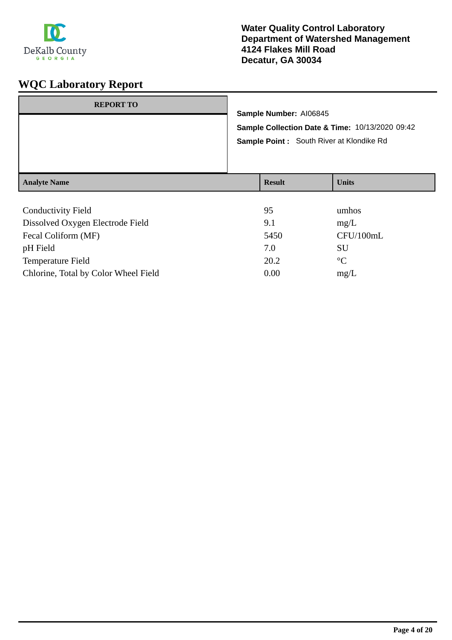

|                     | Sample Number: AI06845<br>Sample Point : South River at Klondike Rd | Sample Collection Date & Time: 10/13/2020 09:42 |
|---------------------|---------------------------------------------------------------------|-------------------------------------------------|
| <b>Analyte Name</b> | <b>Result</b>                                                       | <b>Units</b>                                    |

| <b>Conductivity Field</b>            | 95   | umhos           |
|--------------------------------------|------|-----------------|
| Dissolved Oxygen Electrode Field     | 9.1  | mg/L            |
| Fecal Coliform (MF)                  | 5450 | CFU/100mL       |
| pH Field                             | 7.0  | <b>SU</b>       |
| Temperature Field                    | 20.2 | $\rm ^{\circ}C$ |
| Chlorine, Total by Color Wheel Field | 0.00 | mg/L            |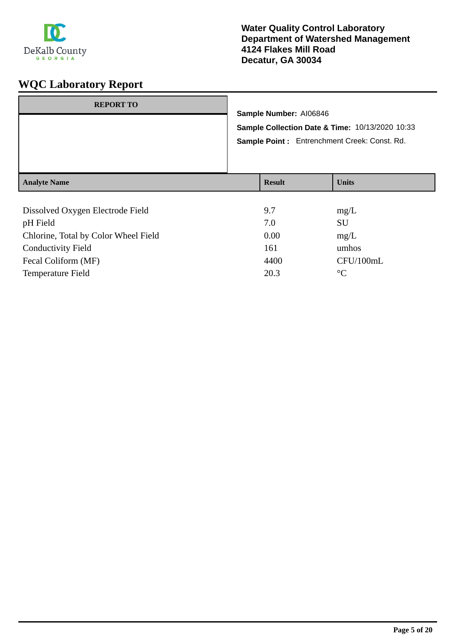

| <b>REPORT TO</b>                 |                                                 |               |              |
|----------------------------------|-------------------------------------------------|---------------|--------------|
|                                  | Sample Number: AI06846                          |               |              |
|                                  | Sample Collection Date & Time: 10/13/2020 10:33 |               |              |
|                                  | Sample Point: Entrenchment Creek: Const. Rd.    |               |              |
|                                  |                                                 |               |              |
|                                  |                                                 |               |              |
| <b>Analyte Name</b>              |                                                 | <b>Result</b> | <b>Units</b> |
|                                  |                                                 |               |              |
| Dissolved Oxygen Electrode Field |                                                 | 9.7           | mg/L         |

| 7.0  | SU        |
|------|-----------|
| 0.00 | mg/L      |
| 161  | umhos     |
| 4400 | CFU/100mL |
| 20.3 | $\circ$ C |
|      |           |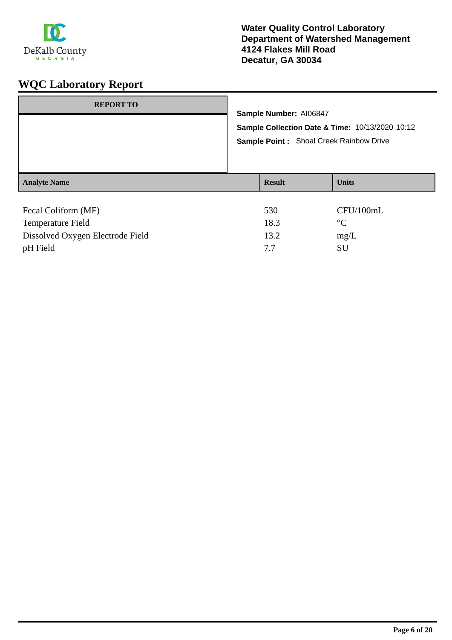

| <b>REPORT TO</b>    | Sample Number: AI06847<br>Sample Collection Date & Time: 10/13/2020 10:12<br>Sample Point : Shoal Creek Rainbow Drive |              |  |
|---------------------|-----------------------------------------------------------------------------------------------------------------------|--------------|--|
|                     |                                                                                                                       |              |  |
| <b>Analyte Name</b> | <b>Result</b>                                                                                                         | <b>Units</b> |  |
| Fecal Coliform (MF) | 530                                                                                                                   | CFU/100mL    |  |
| Temperature Field   | 183                                                                                                                   | $^{\circ}C$  |  |

| 18.3 | $\circ$ |
|------|---------|
| 13.2 | mg/L    |
|      | SU      |
|      |         |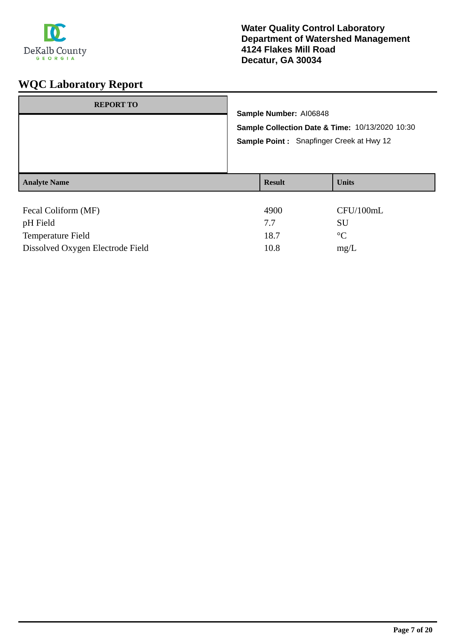

| <b>REPORT TO</b>    | Sample Number: AI06848<br>Sample Collection Date & Time: 10/13/2020 10:30<br>Sample Point: Snapfinger Creek at Hwy 12 |               |                 |
|---------------------|-----------------------------------------------------------------------------------------------------------------------|---------------|-----------------|
| <b>Analyte Name</b> |                                                                                                                       | <b>Result</b> | <b>Units</b>    |
| Fecal Coliform (MF) |                                                                                                                       | 4900          | CFU/100mL       |
| pH Field            |                                                                                                                       | 7.7           | SU              |
| Temperature Field   |                                                                                                                       | 18.7          | $\rm ^{\circ}C$ |

Dissolved Oxygen Electrode Field 10.8 mg/L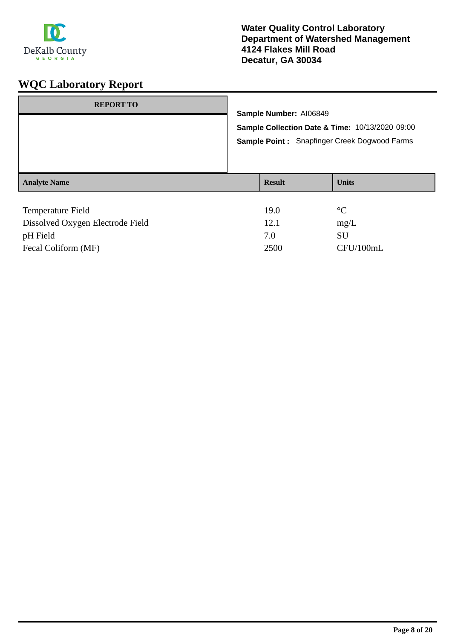

| <b>REPORT TO</b>    | Sample Number: AI06849 | Sample Collection Date & Time: 10/13/2020 09:00<br>Sample Point: Snapfinger Creek Dogwood Farms |
|---------------------|------------------------|-------------------------------------------------------------------------------------------------|
| <b>Analyte Name</b> | <b>Result</b>          | <b>Units</b>                                                                                    |
| Temperature Field   | 19.0                   | $\rm ^{\circ}C$                                                                                 |

| Dissolved Oxygen Electrode Field | 12.1 | mg/L      |
|----------------------------------|------|-----------|
| pH Field                         | 7.0  | SU        |
| Fecal Coliform (MF)              | 2500 | CFU/100mL |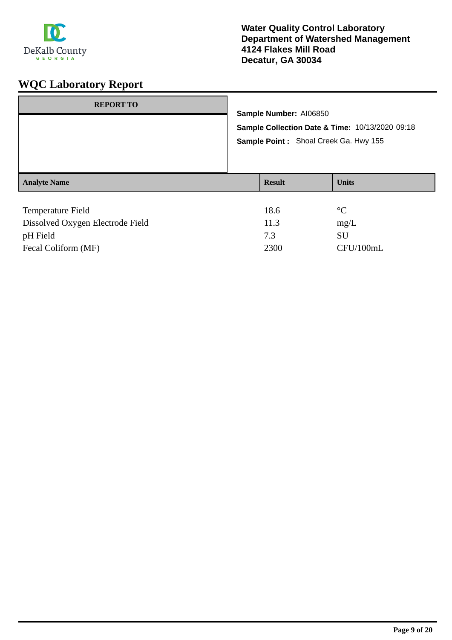

| <b>REPORT TO</b>         |  | Sample Number: AI06850<br>Sample Collection Date & Time: 10/13/2020 09:18<br>Sample Point: Shoal Creek Ga. Hwy 155 |                 |
|--------------------------|--|--------------------------------------------------------------------------------------------------------------------|-----------------|
|                          |  |                                                                                                                    |                 |
| <b>Analyte Name</b>      |  | <b>Result</b>                                                                                                      | <b>Units</b>    |
| <b>Temperature Field</b> |  | 18.6                                                                                                               | $\rm ^{\circ}C$ |

| Dissolved Oxygen Electrode Field | 11.3 | mg/L      |
|----------------------------------|------|-----------|
| pH Field                         | 73   | SU        |
| Fecal Coliform (MF)              | 2300 | CFU/100mL |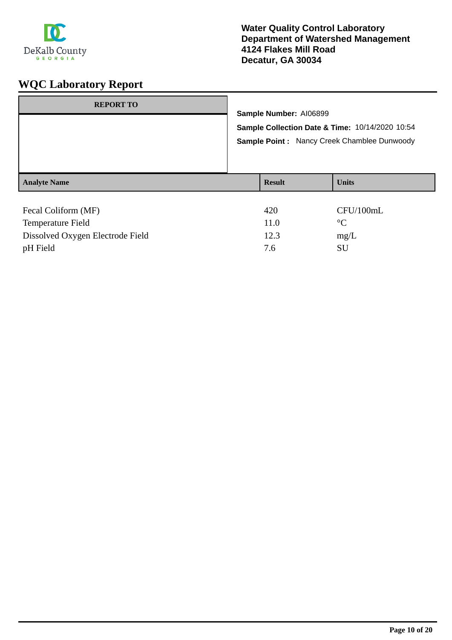

| <b>REPORT TO</b>    | Sample Number: AI06899<br>Sample Collection Date & Time: 10/14/2020 10:54<br><b>Sample Point: Nancy Creek Chamblee Dunwoody</b> |  |              |  |  |
|---------------------|---------------------------------------------------------------------------------------------------------------------------------|--|--------------|--|--|
|                     |                                                                                                                                 |  |              |  |  |
|                     |                                                                                                                                 |  |              |  |  |
|                     |                                                                                                                                 |  |              |  |  |
| <b>Analyte Name</b> | <b>Result</b>                                                                                                                   |  | <b>Units</b> |  |  |
|                     |                                                                                                                                 |  |              |  |  |
| Fecal Coliform (MF) | 420                                                                                                                             |  | CFU/100mL    |  |  |
| Tamparatura Eigld   | 11 $\Lambda$<br>$\Omega$                                                                                                        |  |              |  |  |

| <b>Temperature Field</b>         | 11.0 | $\circ$ |
|----------------------------------|------|---------|
|                                  |      |         |
| Dissolved Oxygen Electrode Field | 12.3 | mg/L    |
| pH Field                         | 7.6  | SU      |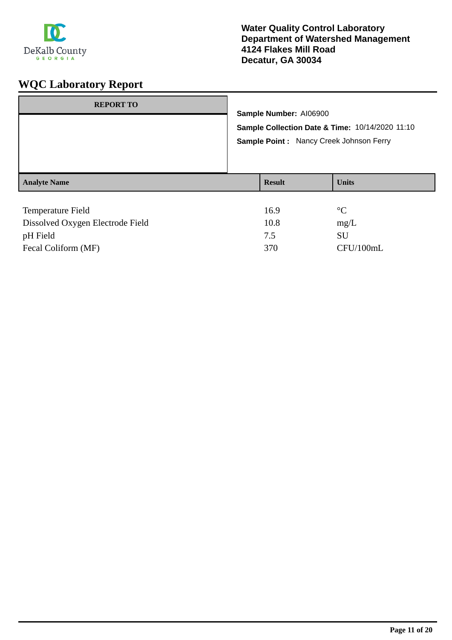

| <b>REPORT TO</b>    | Sample Number: AI06900<br>Sample Collection Date & Time: 10/14/2020 11:10<br>Sample Point: Nancy Creek Johnson Ferry |               |                 |
|---------------------|----------------------------------------------------------------------------------------------------------------------|---------------|-----------------|
| <b>Analyte Name</b> |                                                                                                                      | <b>Result</b> | <b>Units</b>    |
| Temperature Field   |                                                                                                                      | 16.9          | $\rm ^{\circ}C$ |

| Dissolved Oxygen Electrode Field | 10.8 | mg/L      |
|----------------------------------|------|-----------|
| pH Field                         |      | <b>SU</b> |
| Fecal Coliform (MF)              | 370  | CFU/100mL |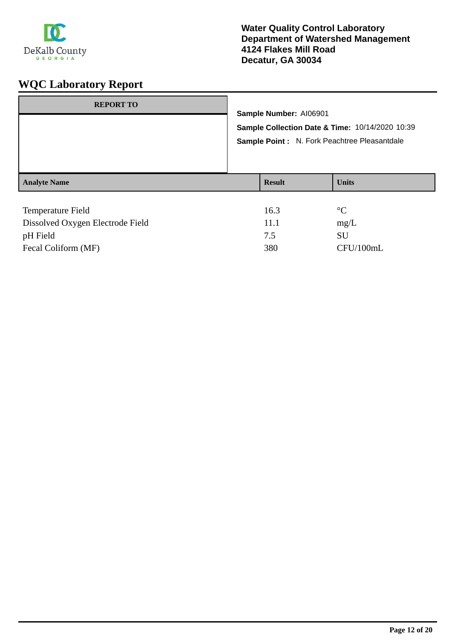

| <b>REPORT TO</b>    | Sample Number: AI06901<br>Sample Collection Date & Time: 10/14/2020 10:39<br>Sample Point : N. Fork Peachtree Pleasantdale |               |                 |
|---------------------|----------------------------------------------------------------------------------------------------------------------------|---------------|-----------------|
| <b>Analyte Name</b> |                                                                                                                            | <b>Result</b> | <b>Units</b>    |
| Temperature Field   |                                                                                                                            | 16.3          | $\rm ^{\circ}C$ |

| Dissolved Oxygen Electrode Field | 11.1 | mg/L      |
|----------------------------------|------|-----------|
| pH Field                         |      | SU        |
| Fecal Coliform (MF)              | 380  | CFU/100mL |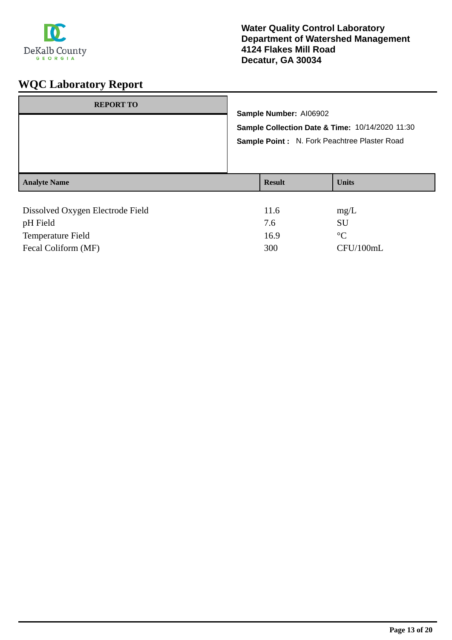

| <b>REPORT TO</b>                 | Sample Number: AI06902<br>Sample Collection Date & Time: 10/14/2020 11:30<br>Sample Point: N. Fork Peachtree Plaster Road |               |                   |
|----------------------------------|---------------------------------------------------------------------------------------------------------------------------|---------------|-------------------|
| <b>Analyte Name</b>              |                                                                                                                           | <b>Result</b> | <b>Units</b>      |
|                                  |                                                                                                                           | 11.6          |                   |
| Dissolved Oxygen Electrode Field |                                                                                                                           | 7.6           | mg/L<br><b>SU</b> |
| pH Field                         |                                                                                                                           |               |                   |
| <b>Temperature Field</b>         |                                                                                                                           | 16.9          | $\rm ^{\circ}C$   |

Fecal Coliform (MF) 300 CFU/100mL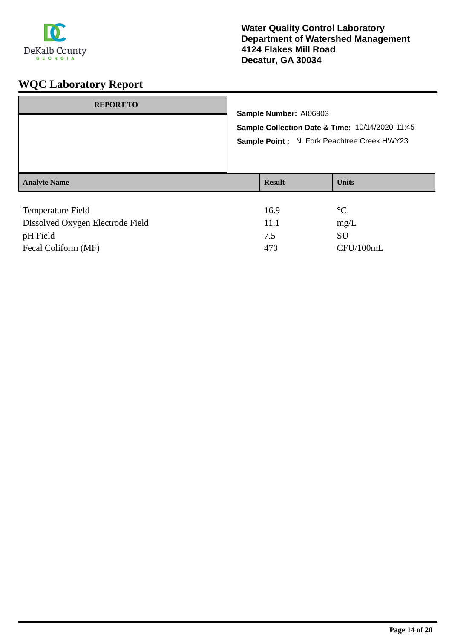

| <b>REPORT TO</b>         | Sample Number: AI06903<br>Sample Collection Date & Time: 10/14/2020 11:45<br>Sample Point: N. Fork Peachtree Creek HWY23 |               |                 |
|--------------------------|--------------------------------------------------------------------------------------------------------------------------|---------------|-----------------|
| <b>Analyte Name</b>      |                                                                                                                          | <b>Result</b> | <b>Units</b>    |
| <b>Temperature Field</b> |                                                                                                                          | 16.9          | $\rm ^{\circ}C$ |

| TUMPURATUL 1 JUNE                | 1 V J . J |           |
|----------------------------------|-----------|-----------|
| Dissolved Oxygen Electrode Field | 11.1      | mg/L      |
| pH Field                         |           | SU        |
| Fecal Coliform (MF)              | 470       | CFU/100mL |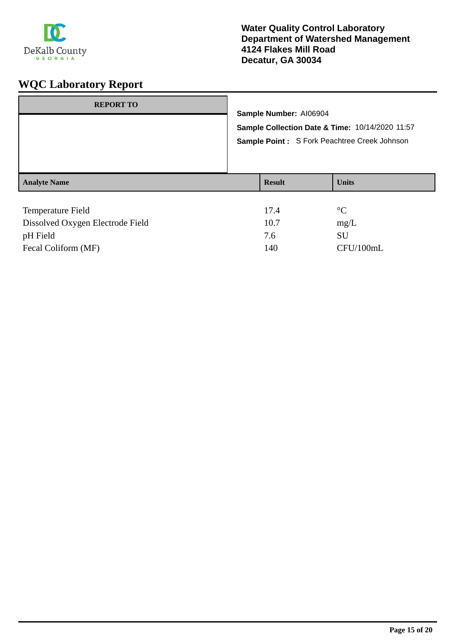

| <b>REPORT TO</b>                                                                     | Sample Number: AI06904<br>Sample Collection Date & Time: 10/14/2020 11:57<br>Sample Point: S Fork Peachtree Creek Johnson |                       |                           |
|--------------------------------------------------------------------------------------|---------------------------------------------------------------------------------------------------------------------------|-----------------------|---------------------------|
| <b>Analyte Name</b>                                                                  |                                                                                                                           | <b>Result</b>         | <b>Units</b>              |
| Temperature Field<br>$\mathbf{r}$ and $\mathbf{r}$ and $\mathbf{r}$ and $\mathbf{r}$ |                                                                                                                           | 17.4<br>$\sim$ $\sim$ | $\rm ^{\circ}C$<br>$\sim$ |

| Dissolved Oxygen Electrode Field | 10.7 | mg/L      |
|----------------------------------|------|-----------|
| pH Field                         | 7.6  | SU        |
| Fecal Coliform (MF)              | 140  | CFU/100mL |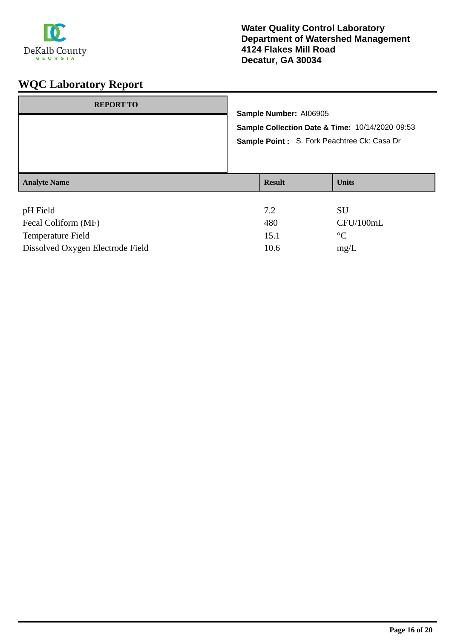

| <b>REPORT TO</b>    | Sample Number: AI06905<br>Sample Collection Date & Time: 10/14/2020 09:53<br>Sample Point: S. Fork Peachtree Ck: Casa Dr |                                    |  |  |  |
|---------------------|--------------------------------------------------------------------------------------------------------------------------|------------------------------------|--|--|--|
|                     |                                                                                                                          |                                    |  |  |  |
|                     |                                                                                                                          |                                    |  |  |  |
|                     |                                                                                                                          |                                    |  |  |  |
|                     |                                                                                                                          |                                    |  |  |  |
| <b>Analyte Name</b> | <b>Result</b>                                                                                                            | <b>Units</b>                       |  |  |  |
|                     |                                                                                                                          |                                    |  |  |  |
| pH Field            | 7.2                                                                                                                      | <b>SU</b>                          |  |  |  |
|                     | $\sim$ $\sim$                                                                                                            | $\sim$ $\sim$ $\sim$ $\sim$ $\sim$ |  |  |  |

| Fecal Coliform (MF)              | 480  | CFU/100mL   |
|----------------------------------|------|-------------|
| Temperature Field                | 15.1 | $\circ$     |
| Dissolved Oxygen Electrode Field | 10.6 | $m\Omega/L$ |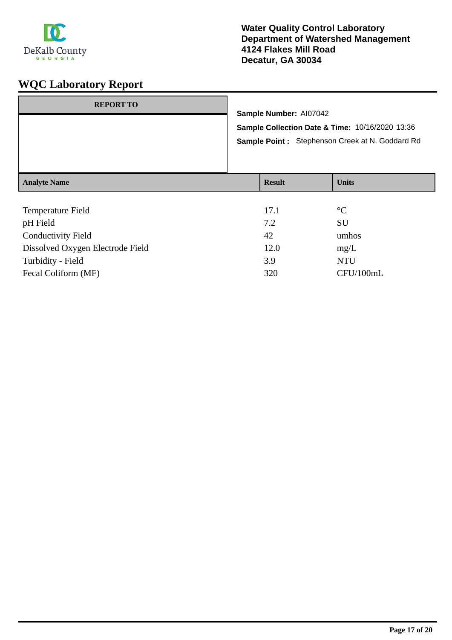

| <b>REPORT TO</b>    | Sample Number: Al07042<br>Sample Collection Date & Time: 10/16/2020 13:36<br>Sample Point: Stephenson Creek at N. Goddard Rd |               |              |
|---------------------|------------------------------------------------------------------------------------------------------------------------------|---------------|--------------|
| <b>Analyte Name</b> |                                                                                                                              | <b>Result</b> | <b>Units</b> |
| Tamparatura Eigld   |                                                                                                                              | 171           | $\circ$      |

| <b>Temperature Field</b>         | 17.1 | $\rm ^{\circ}C$ |
|----------------------------------|------|-----------------|
| pH Field                         | 7.2  | SU              |
| <b>Conductivity Field</b>        | 42   | umhos           |
| Dissolved Oxygen Electrode Field | 12.0 | mg/L            |
| Turbidity - Field                | 3.9  | <b>NTU</b>      |
| Fecal Coliform (MF)              | 320  | CFU/100mL       |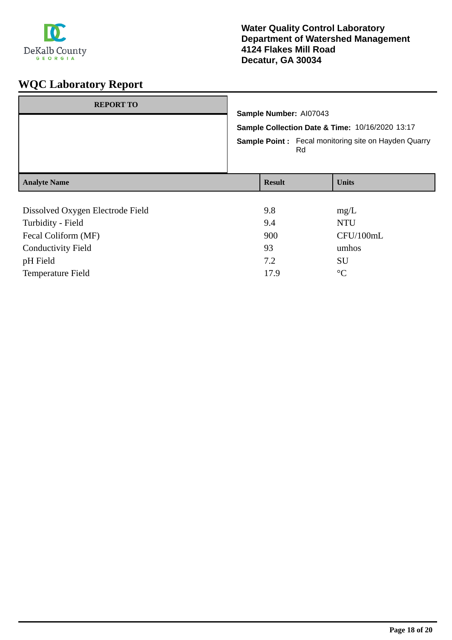

| <b>REPORT TO</b>                 | Sample Number: Al07043<br>Sample Collection Date & Time: 10/16/2020 13:17<br><b>Sample Point:</b> Fecal monitoring site on Hayden Quarry |     |              |  |
|----------------------------------|------------------------------------------------------------------------------------------------------------------------------------------|-----|--------------|--|
|                                  |                                                                                                                                          | Rd. |              |  |
| <b>Analyte Name</b>              | <b>Result</b>                                                                                                                            |     | <b>Units</b> |  |
|                                  |                                                                                                                                          |     |              |  |
| Dissolved Oxygen Electrode Field | 9.8                                                                                                                                      |     | mg/L         |  |
| Turbidity - Field                | 9.4                                                                                                                                      |     | <b>NTU</b>   |  |
| Fecal Coliform (MF)              | 900                                                                                                                                      |     | CFU/100mL    |  |
| <b>Conductivity Field</b>        | 93                                                                                                                                       |     | umhos        |  |

pH Field SU Temperature Field 17.9 °C

**Page 18 of 20**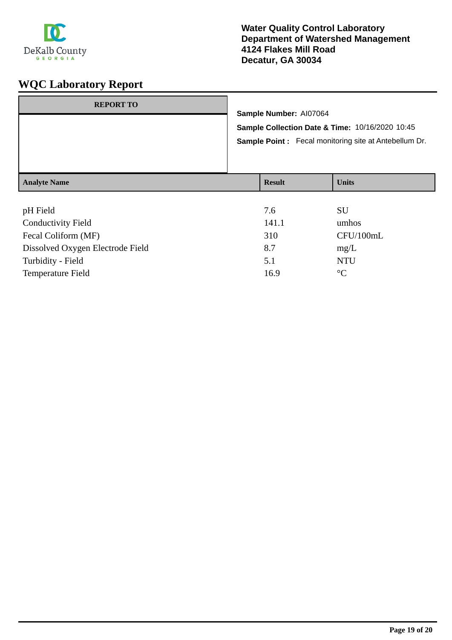

## **Water Quality Control Laboratory Department of Watershed Management 4124 Flakes Mill Road Decatur, GA 30034**

| <b>REPORT TO</b>    | Sample Number: AI07064<br>Sample Collection Date & Time: 10/16/2020 10:45<br><b>Sample Point:</b> Fecal monitoring site at Antebellum Dr. |               |              |
|---------------------|-------------------------------------------------------------------------------------------------------------------------------------------|---------------|--------------|
| <b>Analyte Name</b> |                                                                                                                                           | <b>Result</b> | <b>Units</b> |
|                     |                                                                                                                                           |               |              |

| pH Field                         | 7.6   | SU              |
|----------------------------------|-------|-----------------|
| <b>Conductivity Field</b>        | 141.1 | umhos           |
| Fecal Coliform (MF)              | 310   | CFU/100mL       |
| Dissolved Oxygen Electrode Field | 8.7   | mg/L            |
| Turbidity - Field                | 5.1   | <b>NTU</b>      |
| <b>Temperature Field</b>         | 16.9  | $\rm ^{\circ}C$ |